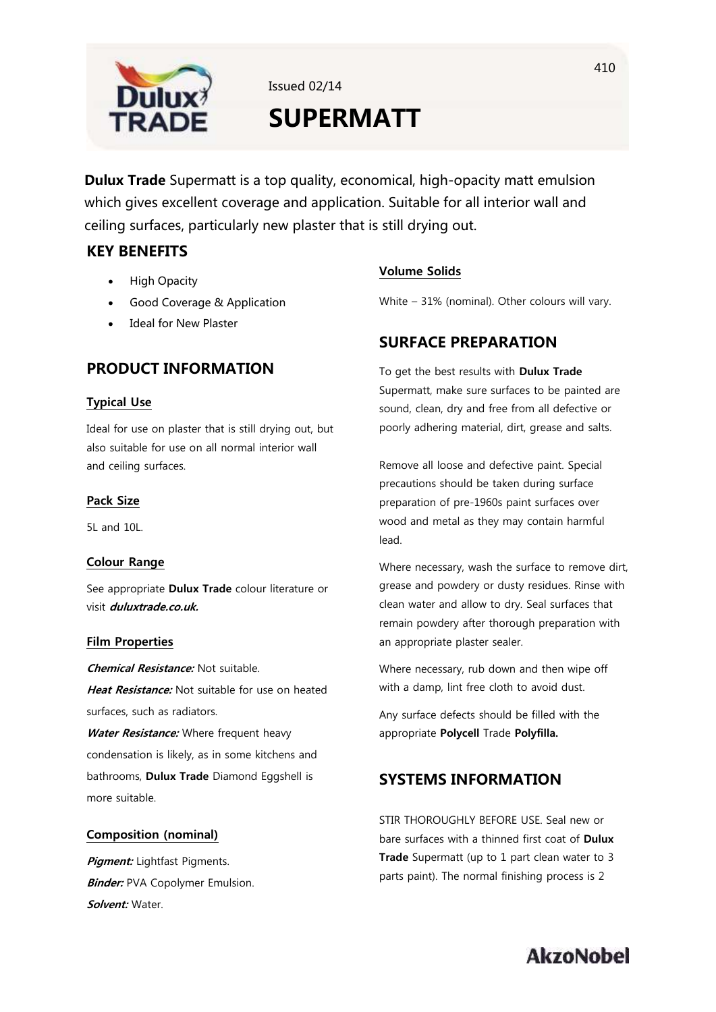

Issued 02/14

# **SUPERMATT**

**Dulux Trade** Supermatt is a top quality, economical, high-opacity matt emulsion which gives excellent coverage and application. Suitable for all interior wall and ceiling surfaces, particularly new plaster that is still drying out.

# **KEY BENEFITS**

- High Opacity
- Good Coverage & Application
- Ideal for New Plaster

# **PRODUCT INFORMATION**

### **Typical Use**

Ideal for use on plaster that is still drying out, but also suitable for use on all normal interior wall and ceiling surfaces.

### **Pack Size**

5L and 10L.

### **Colour Range**

See appropriate **Dulux Trade** colour literature or visit **duluxtrade.co.uk.**

### **Film Properties**

**Chemical Resistance:** Not suitable. **Heat Resistance:** Not suitable for use on heated surfaces, such as radiators.

**Water Resistance:** Where frequent heavy condensation is likely, as in some kitchens and bathrooms, **Dulux Trade** Diamond Eggshell is more suitable.

### **Composition (nominal)**

**Pigment:** Lightfast Pigments. **Binder: PVA Copolymer Emulsion. Solvent:** Water.

### **Volume Solids**

White – 31% (nominal). Other colours will vary.

# **SURFACE PREPARATION**

To get the best results with **Dulux Trade** Supermatt, make sure surfaces to be painted are sound, clean, dry and free from all defective or poorly adhering material, dirt, grease and salts.

Remove all loose and defective paint. Special precautions should be taken during surface preparation of pre-1960s paint surfaces over wood and metal as they may contain harmful lead.

Where necessary, wash the surface to remove dirt, grease and powdery or dusty residues. Rinse with clean water and allow to dry. Seal surfaces that remain powdery after thorough preparation with an appropriate plaster sealer.

Where necessary, rub down and then wipe off with a damp, lint free cloth to avoid dust.

Any surface defects should be filled with the appropriate **Polycell** Trade **Polyfilla.**

## **SYSTEMS INFORMATION**

STIR THOROUGHLY BEFORE USE. Seal new or bare surfaces with a thinned first coat of **Dulux Trade** Supermatt (up to 1 part clean water to 3 parts paint). The normal finishing process is 2

# **AkzoNobel**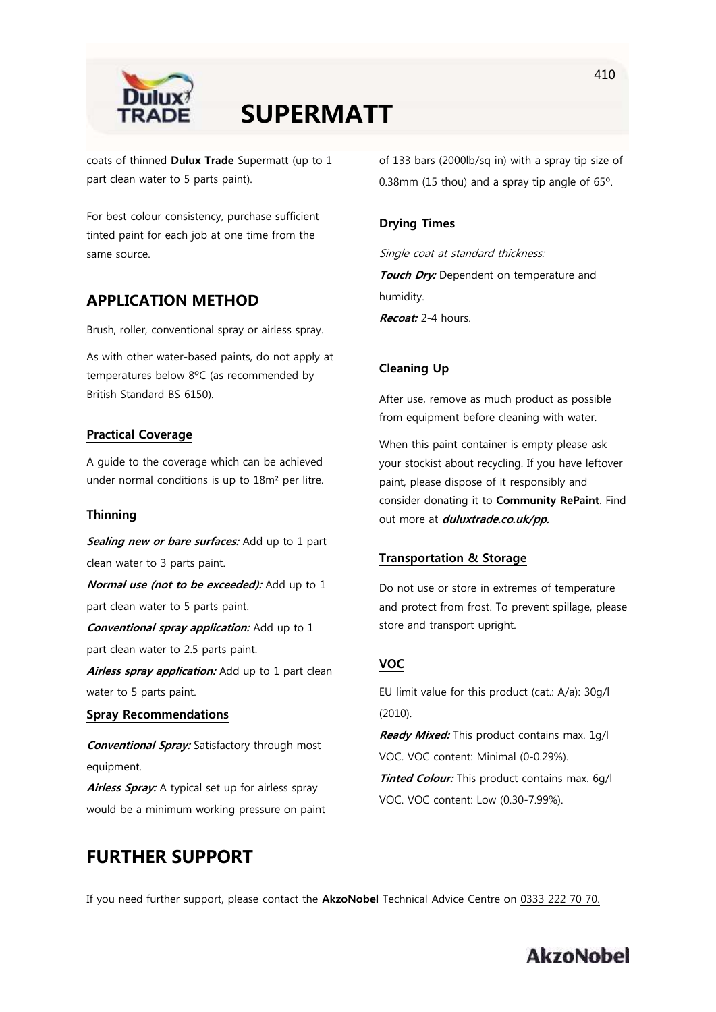

# **SUPERMATT**

coats of thinned **Dulux Trade** Supermatt (up to 1 part clean water to 5 parts paint).

For best colour consistency, purchase sufficient tinted paint for each job at one time from the same source.

### **APPLICATION METHOD**

Brush, roller, conventional spray or airless spray.

As with other water-based paints, do not apply at temperatures below 8ºC (as recommended by British Standard BS 6150).

### **Practical Coverage**

A guide to the coverage which can be achieved under normal conditions is up to 18m² per litre.

### **Thinning**

**Sealing new or bare surfaces:** Add up to 1 part clean water to 3 parts paint.

**Normal use (not to be exceeded):** Add up to 1 part clean water to 5 parts paint.

**Conventional spray application:** Add up to 1 part clean water to 2.5 parts paint.

Airless spray application: Add up to 1 part clean water to 5 parts paint.

### **Spray Recommendations**

**Conventional Spray:** Satisfactory through most equipment.

Airless Spray: A typical set up for airless spray would be a minimum working pressure on paint of 133 bars (2000lb/sq in) with a spray tip size of 0.38mm (15 thou) and a spray tip angle of 65º.

#### **Drying Times**

Single coat at standard thickness: **Touch Dry:** Dependent on temperature and humidity. **Recoat:** 2-4 hours.

### **Cleaning Up**

After use, remove as much product as possible from equipment before cleaning with water.

When this paint container is empty please ask your stockist about recycling. If you have leftover paint, please dispose of it responsibly and consider donating it to **Community RePaint**. Find out more at **duluxtrade.co.uk/pp.**

#### **Transportation & Storage**

Do not use or store in extremes of temperature and protect from frost. To prevent spillage, please store and transport upright.

### **VOC**

EU limit value for this product (cat.: A/a): 30g/l (2010).

**Ready Mixed:** This product contains max. 1g/l VOC. VOC content: Minimal (0-0.29%). **Tinted Colour:** This product contains max. 6g/l

VOC. VOC content: Low (0.30-7.99%).

# **FURTHER SUPPORT**

If you need further support, please contact the **AkzoNobel** Technical Advice Centre on 0333 222 70 70.

# **AkzoNobel**